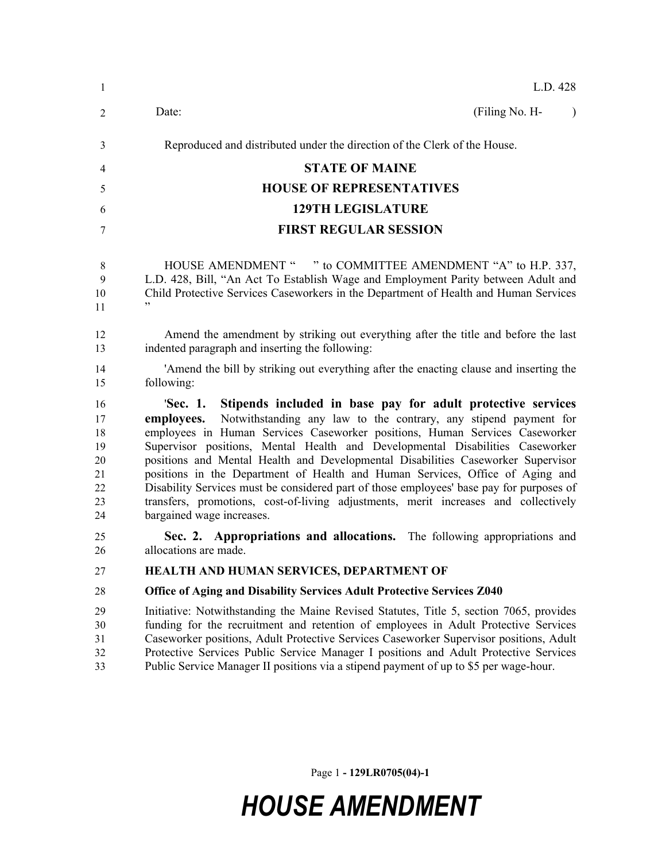| -1                                                 | L.D. 428                                                                                                                                                                                                                                                                                                                                                                                                                                                                                                                                                                                                                                                                                                       |  |  |
|----------------------------------------------------|----------------------------------------------------------------------------------------------------------------------------------------------------------------------------------------------------------------------------------------------------------------------------------------------------------------------------------------------------------------------------------------------------------------------------------------------------------------------------------------------------------------------------------------------------------------------------------------------------------------------------------------------------------------------------------------------------------------|--|--|
| 2                                                  | (Filing No. H-<br>Date:<br>$\lambda$                                                                                                                                                                                                                                                                                                                                                                                                                                                                                                                                                                                                                                                                           |  |  |
| 3                                                  | Reproduced and distributed under the direction of the Clerk of the House.                                                                                                                                                                                                                                                                                                                                                                                                                                                                                                                                                                                                                                      |  |  |
| 4                                                  | <b>STATE OF MAINE</b>                                                                                                                                                                                                                                                                                                                                                                                                                                                                                                                                                                                                                                                                                          |  |  |
| 5                                                  | <b>HOUSE OF REPRESENTATIVES</b>                                                                                                                                                                                                                                                                                                                                                                                                                                                                                                                                                                                                                                                                                |  |  |
| 6                                                  | <b>129TH LEGISLATURE</b>                                                                                                                                                                                                                                                                                                                                                                                                                                                                                                                                                                                                                                                                                       |  |  |
| 7                                                  | <b>FIRST REGULAR SESSION</b>                                                                                                                                                                                                                                                                                                                                                                                                                                                                                                                                                                                                                                                                                   |  |  |
| 8<br>9<br>10<br>11                                 | HOUSE AMENDMENT " " to COMMITTEE AMENDMENT "A" to H.P. 337,<br>L.D. 428, Bill, "An Act To Establish Wage and Employment Parity between Adult and<br>Child Protective Services Caseworkers in the Department of Health and Human Services<br>, 2, 3                                                                                                                                                                                                                                                                                                                                                                                                                                                             |  |  |
| 12<br>13                                           | Amend the amendment by striking out everything after the title and before the last<br>indented paragraph and inserting the following:                                                                                                                                                                                                                                                                                                                                                                                                                                                                                                                                                                          |  |  |
| 14<br>15                                           | Amend the bill by striking out everything after the enacting clause and inserting the<br>following:                                                                                                                                                                                                                                                                                                                                                                                                                                                                                                                                                                                                            |  |  |
| 16<br>17<br>18<br>19<br>20<br>21<br>22<br>23<br>24 | Stipends included in base pay for adult protective services<br>'Sec. 1.<br>Notwithstanding any law to the contrary, any stipend payment for<br>employees.<br>employees in Human Services Caseworker positions, Human Services Caseworker<br>Supervisor positions, Mental Health and Developmental Disabilities Caseworker<br>positions and Mental Health and Developmental Disabilities Caseworker Supervisor<br>positions in the Department of Health and Human Services, Office of Aging and<br>Disability Services must be considered part of those employees' base pay for purposes of<br>transfers, promotions, cost-of-living adjustments, merit increases and collectively<br>bargained wage increases. |  |  |
| 25<br>26                                           | Sec. 2. Appropriations and allocations. The following appropriations and<br>allocations are made.                                                                                                                                                                                                                                                                                                                                                                                                                                                                                                                                                                                                              |  |  |
| 27                                                 | HEALTH AND HUMAN SERVICES, DEPARTMENT OF                                                                                                                                                                                                                                                                                                                                                                                                                                                                                                                                                                                                                                                                       |  |  |
| 28                                                 | <b>Office of Aging and Disability Services Adult Protective Services Z040</b>                                                                                                                                                                                                                                                                                                                                                                                                                                                                                                                                                                                                                                  |  |  |
| 29<br>30<br>31<br>32<br>33                         | Initiative: Notwithstanding the Maine Revised Statutes, Title 5, section 7065, provides<br>funding for the recruitment and retention of employees in Adult Protective Services<br>Caseworker positions, Adult Protective Services Caseworker Supervisor positions, Adult<br>Protective Services Public Service Manager I positions and Adult Protective Services<br>Public Service Manager II positions via a stipend payment of up to \$5 per wage-hour.                                                                                                                                                                                                                                                      |  |  |

Page 1 **- 129LR0705(04)-1**

## *HOUSE AMENDMENT*